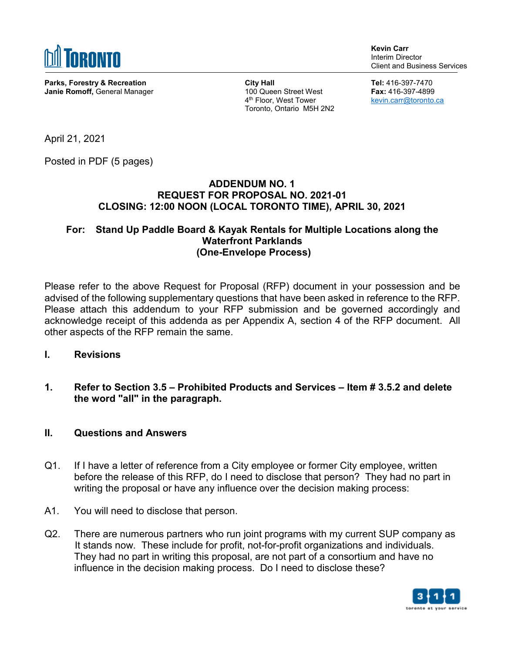

**Parks, Forestry & Recreation Janie Romoff,** General Manager **Kevin Carr** Interim Director Client and Business Services

**City Hall**  100 Queen Street West 4th Floor, West Tower Toronto, Ontario M5H 2N2 **Tel:** 416-397-7470 **Fax:** 416-397-4899 [kevin.carr@toronto.ca](mailto:kevin.carr@toronto.ca) 

April 21, 2021

Posted in PDF (5 pages)

## **ADDENDUM NO. 1 REQUEST FOR PROPOSAL NO. 2021-01 CLOSING: 12:00 NOON (LOCAL TORONTO TIME), APRIL 30, 2021**

## **For: Stand Up Paddle Board & Kayak Rentals for Multiple Locations along the Waterfront Parklands (One-Envelope Process)**

Please refer to the above Request for Proposal (RFP) document in your possession and be advised of the following supplementary questions that have been asked in reference to the RFP. Please attach this addendum to your RFP submission and be governed accordingly and acknowledge receipt of this addenda as per Appendix A, section 4 of the RFP document. All other aspects of the RFP remain the same.

- **I. Revisions**
- **1. Refer to Section 3.5 Prohibited Products and Services Item # 3.5.2 and delete the word "all" in the paragraph.**

## **II. Questions and Answers**

- Q1. If I have a letter of reference from a City employee or former City employee, written before the release of this RFP, do I need to disclose that person? They had no part in writing the proposal or have any influence over the decision making process:
- A1. You will need to disclose that person.
- Q2. There are numerous partners who run joint programs with my current SUP company as It stands now. These include for profit, not-for-profit organizations and individuals. They had no part in writing this proposal, are not part of a consortium and have no influence in the decision making process. Do I need to disclose these?

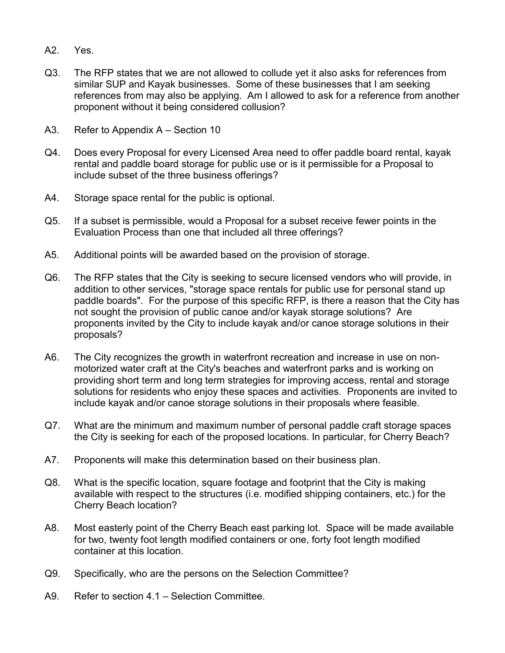- A2. Yes.
- Q3. The RFP states that we are not allowed to collude yet it also asks for references from similar SUP and Kayak businesses. Some of these businesses that I am seeking references from may also be applying. Am I allowed to ask for a reference from another proponent without it being considered collusion?
- A3. Refer to Appendix A Section 10
- Q4. Does every Proposal for every Licensed Area need to offer paddle board rental, kayak rental and paddle board storage for public use or is it permissible for a Proposal to include subset of the three business offerings?
- A4. Storage space rental for the public is optional.
- Q5. If a subset is permissible, would a Proposal for a subset receive fewer points in the Evaluation Process than one that included all three offerings?
- A5. Additional points will be awarded based on the provision of storage.
- Q6. The RFP states that the City is seeking to secure licensed vendors who will provide, in addition to other services, "storage space rentals for public use for personal stand up paddle boards". For the purpose of this specific RFP, is there a reason that the City has not sought the provision of public canoe and/or kayak storage solutions? Are proponents invited by the City to include kayak and/or canoe storage solutions in their proposals?
- A6. The City recognizes the growth in waterfront recreation and increase in use on nonmotorized water craft at the City's beaches and waterfront parks and is working on providing short term and long term strategies for improving access, rental and storage solutions for residents who enjoy these spaces and activities. Proponents are invited to include kayak and/or canoe storage solutions in their proposals where feasible.
- Q7. What are the minimum and maximum number of personal paddle craft storage spaces the City is seeking for each of the proposed locations. In particular, for Cherry Beach?
- A7. Proponents will make this determination based on their business plan.
- Q8. What is the specific location, square footage and footprint that the City is making available with respect to the structures (i.e. modified shipping containers, etc.) for the Cherry Beach location?
- A8. Most easterly point of the Cherry Beach east parking lot. Space will be made available for two, twenty foot length modified containers or one, forty foot length modified container at this location.
- Q9. Specifically, who are the persons on the Selection Committee?
- A9. Refer to section 4.1 Selection Committee.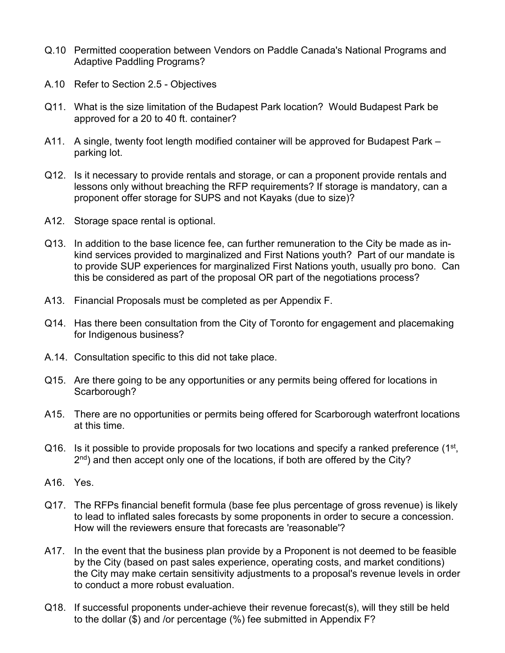- Q.10 Permitted cooperation between Vendors on Paddle Canada's National Programs and Adaptive Paddling Programs?
- A.10 Refer to Section 2.5 Objectives
- Q11. What is the size limitation of the Budapest Park location? Would Budapest Park be approved for a 20 to 40 ft. container?
- A11. A single, twenty foot length modified container will be approved for Budapest Park parking lot.
- Q12. Is it necessary to provide rentals and storage, or can a proponent provide rentals and lessons only without breaching the RFP requirements? If storage is mandatory, can a proponent offer storage for SUPS and not Kayaks (due to size)?
- A12. Storage space rental is optional.
- Q13. In addition to the base licence fee, can further remuneration to the City be made as inkind services provided to marginalized and First Nations youth? Part of our mandate is to provide SUP experiences for marginalized First Nations youth, usually pro bono. Can this be considered as part of the proposal OR part of the negotiations process?
- A13. Financial Proposals must be completed as per Appendix F.
- Q14. Has there been consultation from the City of Toronto for engagement and placemaking for Indigenous business?
- A.14. Consultation specific to this did not take place.
- Q15. Are there going to be any opportunities or any permits being offered for locations in Scarborough?
- A15. There are no opportunities or permits being offered for Scarborough waterfront locations at this time.
- Q16. Is it possible to provide proposals for two locations and specify a ranked preference (1<sup>st</sup>,  $2<sup>nd</sup>$ ) and then accept only one of the locations, if both are offered by the City?
- A16. Yes.
- Q17. The RFPs financial benefit formula (base fee plus percentage of gross revenue) is likely to lead to inflated sales forecasts by some proponents in order to secure a concession. How will the reviewers ensure that forecasts are 'reasonable'?
- A17. In the event that the business plan provide by a Proponent is not deemed to be feasible by the City (based on past sales experience, operating costs, and market conditions) the City may make certain sensitivity adjustments to a proposal's revenue levels in order to conduct a more robust evaluation.
- Q18. If successful proponents under-achieve their revenue forecast(s), will they still be held to the dollar (\$) and /or percentage (%) fee submitted in Appendix F?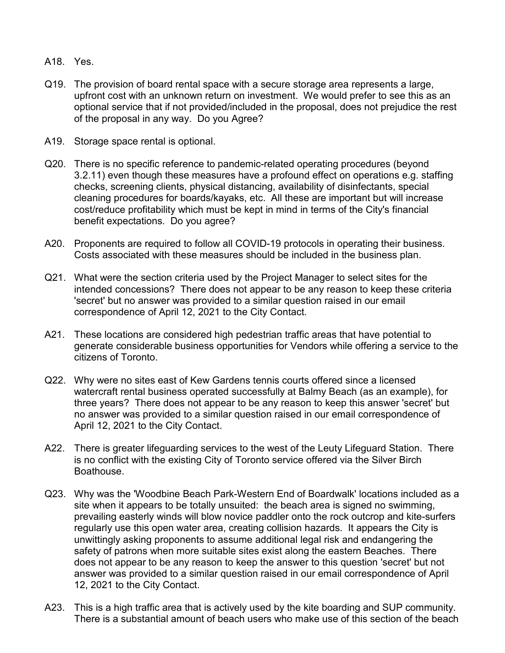- A18. Yes.
- Q19. The provision of board rental space with a secure storage area represents a large, upfront cost with an unknown return on investment. We would prefer to see this as an optional service that if not provided/included in the proposal, does not prejudice the rest of the proposal in any way. Do you Agree?
- A19. Storage space rental is optional.
- Q20. There is no specific reference to pandemic-related operating procedures (beyond 3.2.11) even though these measures have a profound effect on operations e.g. staffing checks, screening clients, physical distancing, availability of disinfectants, special cleaning procedures for boards/kayaks, etc. All these are important but will increase cost/reduce profitability which must be kept in mind in terms of the City's financial benefit expectations. Do you agree?
- A20. Proponents are required to follow all COVID-19 protocols in operating their business. Costs associated with these measures should be included in the business plan.
- Q21. What were the section criteria used by the Project Manager to select sites for the intended concessions? There does not appear to be any reason to keep these criteria 'secret' but no answer was provided to a similar question raised in our email correspondence of April 12, 2021 to the City Contact.
- A21. These locations are considered high pedestrian traffic areas that have potential to generate considerable business opportunities for Vendors while offering a service to the citizens of Toronto.
- Q22. Why were no sites east of Kew Gardens tennis courts offered since a licensed watercraft rental business operated successfully at Balmy Beach (as an example), for three years? There does not appear to be any reason to keep this answer 'secret' but no answer was provided to a similar question raised in our email correspondence of April 12, 2021 to the City Contact.
- A22. There is greater lifeguarding services to the west of the Leuty Lifeguard Station. There is no conflict with the existing City of Toronto service offered via the Silver Birch Boathouse.
- Q23. Why was the 'Woodbine Beach Park-Western End of Boardwalk' locations included as a site when it appears to be totally unsuited: the beach area is signed no swimming, prevailing easterly winds will blow novice paddler onto the rock outcrop and kite-surfers regularly use this open water area, creating collision hazards. It appears the City is unwittingly asking proponents to assume additional legal risk and endangering the safety of patrons when more suitable sites exist along the eastern Beaches. There does not appear to be any reason to keep the answer to this question 'secret' but not answer was provided to a similar question raised in our email correspondence of April 12, 2021 to the City Contact.
- A23. This is a high traffic area that is actively used by the kite boarding and SUP community. There is a substantial amount of beach users who make use of this section of the beach